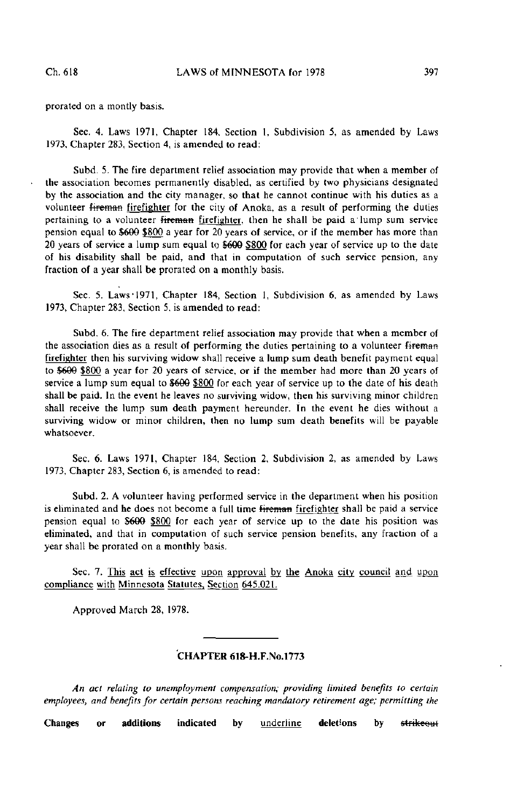prorated on a montly basis.

Sec. 4. Laws 1971, Chapter 184, Section 1, Subdivision 5, as amended by Laws 1973, Chapter 283, Section 4, is amended to read:

Subd. 5. The fire department relief association may provide that when a member of the association becomes permanently disabled, as certified by two physicians designated by the association and the city manager, so that he cannot continue with his duties as a volunteer fireman firefighter for the city of Anoka, as a result of performing the duties pertaining to a volunteer fireman firefighter, then he shall be paid a lump sum service pension equal to \$609 \$800 a year for 20 years of service, or if the member has more than 20 years of service a lump sum equal to \$666 \$800 for each year of service up to the date of his disability shall be paid, and that in computation of such service pension, any fraction of a year shall be prorated on a monthly basis.

Sec. 5. Laws'1971, Chapter 184, Section 1, Subdivision 6, as amended by Laws 1973, Chapter 283, Section 5, is amended to read:

Subd. 6. The fire department relief association may provide that when a member of the association dies as a result of performing the duties pertaining to a volunteer fireman firefighter then his surviving widow shall receive a lump sum death benefit payment equal to \$699 \$800 a year for 20 years of service, or if the member had more than 20 years of service a lump sum equal to \$600 \$800 for each year of service up to the date of his death shall be paid. In the event he leaves no surviving widow, then his surviving minor children shall receive the lump sum death payment hereunder. In the event he dies without a surviving widow or minor children, then no lump sum death benefits will be payable whatsoever.

Sec. 6. Laws 1971, Chapter 184, Section 2, Subdivision 2, as amended by Laws 1973, Chapter 283, Section 6, is amended to read:

Subd. 2. A volunteer having performed service in the department when his position is eliminated and he does not become a full time fireman firefighter shall be paid a service pension equal to \$660 \$800 for each year of service up to the date his position was eliminated, and that in computation of such service pension benefits, any fraction of a year shall be prorated on a monthly basis.

Sec. 7. This act is effective upon approval by the Anoka city council and upon compliance with Minnesota Statutes, Section 645.021.

Approved March 28, 1978.

## CHAPTER 618-H.F.No.l773

An act relating to unemployment compensation; providing limited benefits to certain employees, and benefits for certain persons reaching mandatory retirement age; permitting the

Changes or additions indicated by underline deletions by strikeout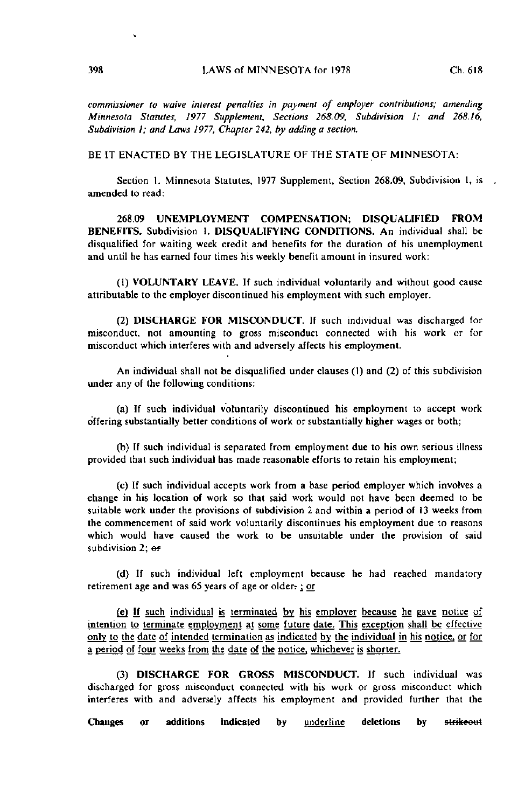commissioner to waive interest penalties in payment of employer contributions; amending Minnesota Statutes, 1977 Supplement, Sections 268.09, Subdivision 1; and 268.16, Subdivision I; and Laws 1977, Chapter 242, by adding a section.

BE IT ENACTED BY THE LEGISLATURE OF THE STATE OF MINNESOTA:

Section I. Minnesota Statutes, 1977 Supplement, Section 268.09, Subdivision 1, is amended to read:

268.09 UNEMPLOYMENT COMPENSATION; DISQUALIFIED FROM BENEFITS. Subdivision 1. DISQUALIFYING CONDITIONS. An individual shall be disqualified for waiting week credit and benefits for the duration of his unemployment and until he has earned four times his weekly benefit amount in insured work:

(1) VOLUNTARY LEAVE. If such individual voluntarily and without good cause attributable to the employer discontinued his employment with such employer.

(2) DISCHARGE FOR MISCONDUCT. If such individual was discharged for misconduct, not amounting to gross misconduct connected with his work or for misconduct which interferes with and adversely affects his employment.

An individual shall not be disqualified under clauses (1) and (2) of this subdivision under any of the following conditions:

(a) If such individual voluntarily discontinued his employment to accept work offering substantially better conditions of work or substantially higher wages or both;

(b) If such individual is separated from employment due to his own serious illness provided that such individual has made reasonable efforts to retain his employment;

(c) If such individual accepts work from a base period employer which involves a change in his location of work so that said work would not have been deemed to be suitable work under the provisions of subdivision 2 and within a period of 13 weeks from the commencement of said work voluntarily discontinues his employment due to reasons which would have caused the work to be unsuitable under the provision of said subdivision  $2$ ;  $\alpha$ 

(d) If such individual left employment because he had reached mandatory retirement age and was 65 years of age or older $r$ ; or

(e) |f such individual is terminated by his employer because he gave notice of intention to terminate employment at some future date. This exception shall be effective only to the date of intended termination as indicated by the individual in his notice, or for a period of four weeks from the date of the notice, whichever is shorter.

(3) DISCHARGE FOR GROSS MISCONDUCT. If such individual was discharged for gross misconduct connected with his work or gross misconduct which interferes with and adversely affects his ernployment and provided further that the

Changes or additions indicated by underline deletions by strikeout

 $\ddot{\phantom{a}}$